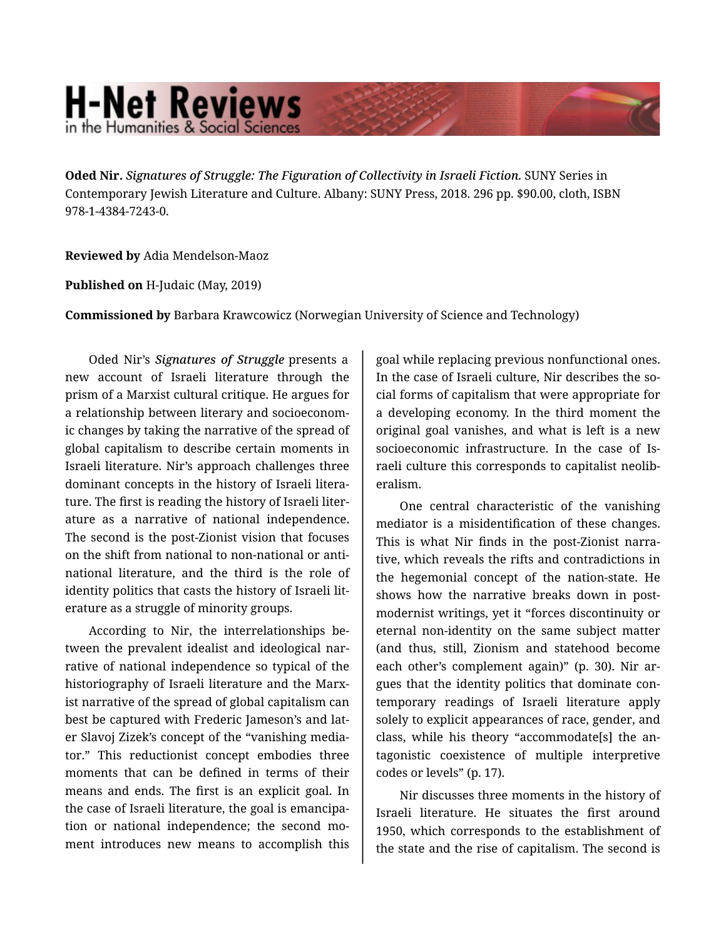## **H-Net Reviews** in the Humanities & Social Scienc

**Oded Nir.** *Signatures of Struggle: The Figuration of Collectivity in Israeli Fiction.* SUNY Series in Contemporary Jewish Literature and Culture. Albany: SUNY Press, 2018. 296 pp. \$90.00, cloth, ISBN 978-1-4384-7243-0.

**Reviewed by** Adia Mendelson-Maoz

**Published on** H-Judaic (May, 2019)

**Commissioned by** Barbara Krawcowicz (Norwegian University of Science and Technology)

Oded Nir's *Signatures of Struggle* presents a new account of Israeli literature through the prism of a Marxist cultural critique. He argues for a relationship between literary and socioeconom‐ ic changes by taking the narrative of the spread of global capitalism to describe certain moments in Israeli literature. Nir's approach challenges three dominant concepts in the history of Israeli litera‐ ture. The first is reading the history of Israeli liter‐ ature as a narrative of national independence. The second is the post-Zionist vision that focuses on the shift from national to non-national or antinational literature, and the third is the role of identity politics that casts the history of Israeli lit‐ erature as a struggle of minority groups.

According to Nir, the interrelationships be‐ tween the prevalent idealist and ideological nar‐ rative of national independence so typical of the historiography of Israeli literature and the Marx‐ ist narrative of the spread of global capitalism can best be captured with Frederic Jameson's and lat‐ er Slavoj Zizek's concept of the "vanishing media‐ tor." This reductionist concept embodies three moments that can be defined in terms of their means and ends. The first is an explicit goal. In the case of Israeli literature, the goal is emancipa‐ tion or national independence; the second mo‐ ment introduces new means to accomplish this

goal while replacing previous nonfunctional ones. In the case of Israeli culture, Nir describes the so‐ cial forms of capitalism that were appropriate for a developing economy. In the third moment the original goal vanishes, and what is left is a new socioeconomic infrastructure. In the case of Israeli culture this corresponds to capitalist neolib‐ eralism.

One central characteristic of the vanishing mediator is a misidentification of these changes. This is what Nir finds in the post-Zionist narra‐ tive, which reveals the rifts and contradictions in the hegemonial concept of the nation-state. He shows how the narrative breaks down in post‐ modernist writings, yet it "forces discontinuity or eternal non-identity on the same subject matter (and thus, still, Zionism and statehood become each other's complement again)" (p. 30). Nir ar‐ gues that the identity politics that dominate con‐ temporary readings of Israeli literature apply solely to explicit appearances of race, gender, and class, while his theory "accommodate[s] the an‐ tagonistic coexistence of multiple interpretive codes or levels" (p. 17).

Nir discusses three moments in the history of Israeli literature. He situates the first around 1950, which corresponds to the establishment of the state and the rise of capitalism. The second is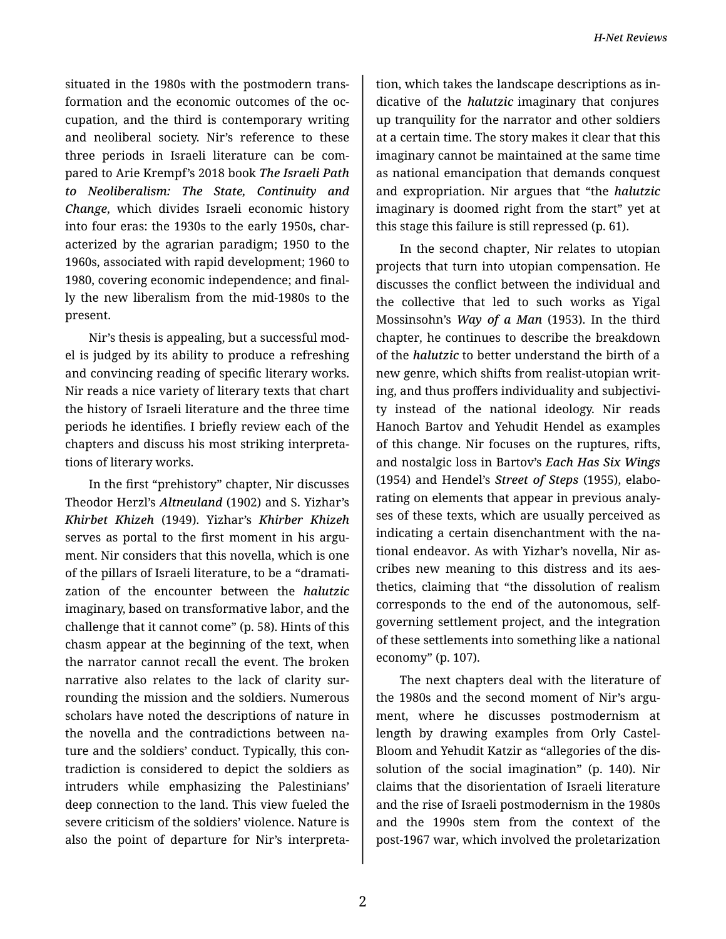situated in the 1980s with the postmodern trans‐ formation and the economic outcomes of the oc‐ cupation, and the third is contemporary writing and neoliberal society. Nir's reference to these three periods in Israeli literature can be com‐ pared to Arie Krempf's 2018 book *The Israeli Path to Neoliberalism: The State, Continuity and Change*, which divides Israeli economic history into four eras: the 1930s to the early 1950s, char‐ acterized by the agrarian paradigm; 1950 to the 1960s, associated with rapid development; 1960 to 1980, covering economic independence; and final‐ ly the new liberalism from the mid-1980s to the present.

Nir's thesis is appealing, but a successful mod‐ el is judged by its ability to produce a refreshing and convincing reading of specific literary works. Nir reads a nice variety of literary texts that chart the history of Israeli literature and the three time periods he identifies. I briefly review each of the chapters and discuss his most striking interpreta‐ tions of literary works.

In the first "prehistory" chapter, Nir discusses Theodor Herzl's *Altneuland* (1902) and S. Yizhar's *Khirbet Khizeh* (1949). Yizhar's *Khirber Khizeh* serves as portal to the first moment in his argument. Nir considers that this novella, which is one of the pillars of Israeli literature, to be a "dramati‐ zation of the encounter between the *halutzic* imaginary, based on transformative labor, and the challenge that it cannot come" (p. 58). Hints of this chasm appear at the beginning of the text, when the narrator cannot recall the event. The broken narrative also relates to the lack of clarity sur‐ rounding the mission and the soldiers. Numerous scholars have noted the descriptions of nature in the novella and the contradictions between na‐ ture and the soldiers' conduct. Typically, this con‐ tradiction is considered to depict the soldiers as intruders while emphasizing the Palestinians' deep connection to the land. This view fueled the severe criticism of the soldiers' violence. Nature is also the point of departure for Nir's interpreta‐

tion, which takes the landscape descriptions as in‐ dicative of the *halutzic* imaginary that conjures up tranquility for the narrator and other soldiers at a certain time. The story makes it clear that this imaginary cannot be maintained at the same time as national emancipation that demands conquest and expropriation. Nir argues that "the *halutzic* imaginary is doomed right from the start" yet at this stage this failure is still repressed (p. 61).

In the second chapter, Nir relates to utopian projects that turn into utopian compensation. He discusses the conflict between the individual and the collective that led to such works as Yigal Mossinsohn's *Way of a Man* (1953). In the third chapter, he continues to describe the breakdown of the *halutzic* to better understand the birth of a new genre, which shifts from realist-utopian writ‐ ing, and thus proffers individuality and subjectivi‐ ty instead of the national ideology. Nir reads Hanoch Bartov and Yehudit Hendel as examples of this change. Nir focuses on the ruptures, rifts, and nostalgic loss in Bartov's *Each Has Six Wings* (1954) and Hendel's *Street of Steps* (1955), elabo‐ rating on elements that appear in previous analy‐ ses of these texts, which are usually perceived as indicating a certain disenchantment with the na‐ tional endeavor. As with Yizhar's novella, Nir as‐ cribes new meaning to this distress and its aes‐ thetics, claiming that "the dissolution of realism corresponds to the end of the autonomous, selfgoverning settlement project, and the integration of these settlements into something like a national economy" (p. 107).

The next chapters deal with the literature of the 1980s and the second moment of Nir's argument, where he discusses postmodernism at length by drawing examples from Orly Castel-Bloom and Yehudit Katzir as "allegories of the dis‐ solution of the social imagination" (p. 140). Nir claims that the disorientation of Israeli literature and the rise of Israeli postmodernism in the 1980s and the 1990s stem from the context of the post-1967 war, which involved the proletarization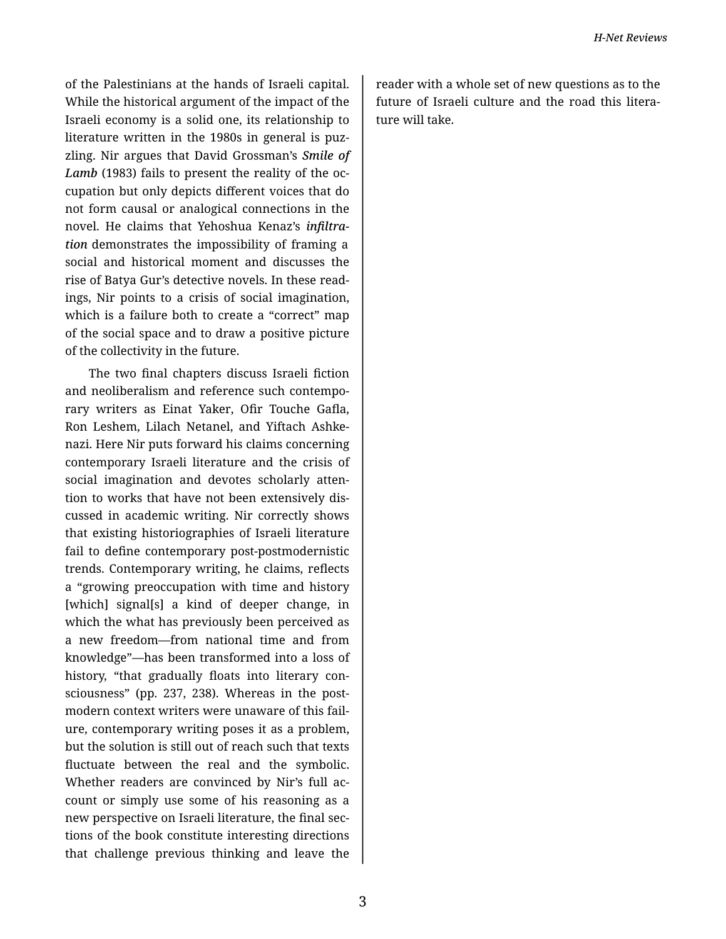of the Palestinians at the hands of Israeli capital. While the historical argument of the impact of the Israeli economy is a solid one, its relationship to literature written in the 1980s in general is puzzling. Nir argues that David Grossman's Smile of Lamb (1983) fails to present the reality of the occupation but only depicts different voices that do not form causal or analogical connections in the novel. He claims that Yehoshua Kenaz's infiltra*tion* demonstrates the impossibility of framing a social and historical moment and discusses the rise of Batya Gur's detective novels. In these readings, Nir points to a crisis of social imagination, which is a failure both to create a "correct" map of the social space and to draw a positive picture of the collectivity in the future.

The two final chapters discuss Israeli fiction and neoliberalism and reference such contemporary writers as Einat Yaker, Ofir Touche Gafla, Ron Leshem, Lilach Netanel, and Yiftach Ashkenazi. Here Nir puts forward his claims concerning contemporary Israeli literature and the crisis of social imagination and devotes scholarly attention to works that have not been extensively discussed in academic writing. Nir correctly shows that existing historiographies of Israeli literature fail to define contemporary post-postmodernistic trends. Contemporary writing, he claims, reflects a "growing preoccupation with time and history [which] signal[s] a kind of deeper change, in which the what has previously been perceived as a new freedom-from national time and from knowledge"-has been transformed into a loss of history, "that gradually floats into literary consciousness" (pp. 237, 238). Whereas in the postmodern context writers were unaware of this failure, contemporary writing poses it as a problem, but the solution is still out of reach such that texts fluctuate between the real and the symbolic. Whether readers are convinced by Nir's full account or simply use some of his reasoning as a new perspective on Israeli literature, the final sections of the book constitute interesting directions that challenge previous thinking and leave the

reader with a whole set of new questions as to the future of Israeli culture and the road this literature will take.